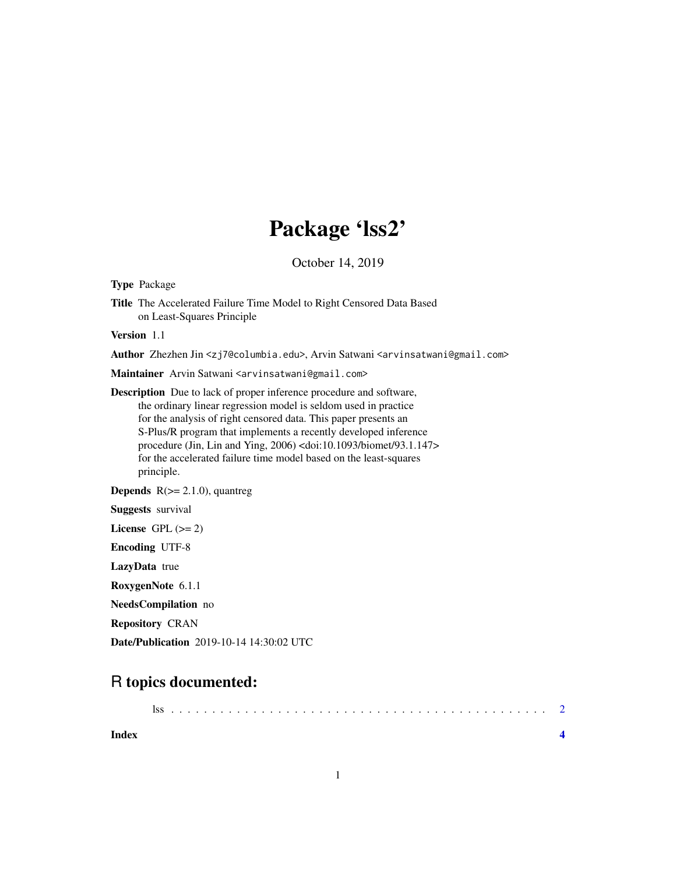## Package 'lss2'

October 14, 2019

Type Package

Title The Accelerated Failure Time Model to Right Censored Data Based on Least-Squares Principle

Version 1.1

Author Zhezhen Jin <zj7@columbia.edu>, Arvin Satwani <arvinsatwani@gmail.com>

Maintainer Arvin Satwani <arvinsatwani@gmail.com>

Description Due to lack of proper inference procedure and software, the ordinary linear regression model is seldom used in practice for the analysis of right censored data. This paper presents an S-Plus/R program that implements a recently developed inference procedure (Jin, Lin and Ying, 2006) <doi:10.1093/biomet/93.1.147> for the accelerated failure time model based on the least-squares principle.

**Depends**  $R$ ( $>= 2.1.0$ ), quantreg

Suggests survival

License GPL  $(>= 2)$ 

Encoding UTF-8

LazyData true

RoxygenNote 6.1.1

NeedsCompilation no

Repository CRAN

Date/Publication 2019-10-14 14:30:02 UTC

### R topics documented:

| Index |  |
|-------|--|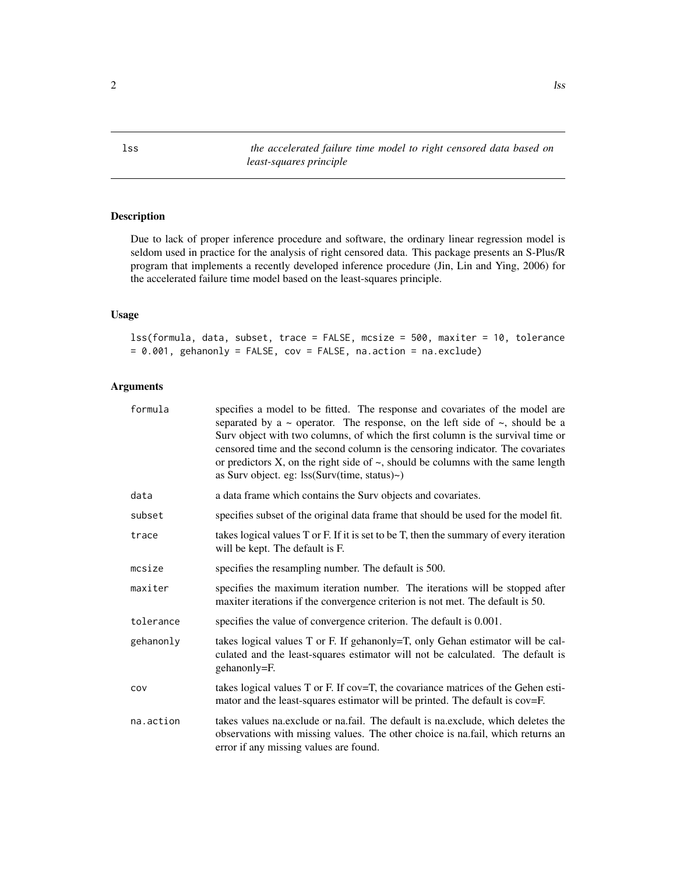<span id="page-1-0"></span>lss *the accelerated failure time model to right censored data based on least-squares principle*

#### Description

Due to lack of proper inference procedure and software, the ordinary linear regression model is seldom used in practice for the analysis of right censored data. This package presents an S-Plus/R program that implements a recently developed inference procedure (Jin, Lin and Ying, 2006) for the accelerated failure time model based on the least-squares principle.

#### Usage

lss(formula, data, subset, trace = FALSE, mcsize = 500, maxiter = 10, tolerance = 0.001, gehanonly = FALSE, cov = FALSE, na.action = na.exclude)

#### Arguments

| formula   | specifies a model to be fitted. The response and covariates of the model are<br>separated by a $\sim$ operator. The response, on the left side of $\sim$ , should be a<br>Surv object with two columns, of which the first column is the survival time or<br>censored time and the second column is the censoring indicator. The covariates<br>or predictors X, on the right side of $\sim$ , should be columns with the same length<br>as Surv object. eg: lss(Surv(time, status)~) |
|-----------|--------------------------------------------------------------------------------------------------------------------------------------------------------------------------------------------------------------------------------------------------------------------------------------------------------------------------------------------------------------------------------------------------------------------------------------------------------------------------------------|
| data      | a data frame which contains the Surv objects and covariates.                                                                                                                                                                                                                                                                                                                                                                                                                         |
| subset    | specifies subset of the original data frame that should be used for the model fit.                                                                                                                                                                                                                                                                                                                                                                                                   |
| trace     | takes logical values T or F. If it is set to be T, then the summary of every iteration<br>will be kept. The default is F.                                                                                                                                                                                                                                                                                                                                                            |
| mcsize    | specifies the resampling number. The default is 500.                                                                                                                                                                                                                                                                                                                                                                                                                                 |
| maxiter   | specifies the maximum iteration number. The iterations will be stopped after<br>maxiter iterations if the convergence criterion is not met. The default is 50.                                                                                                                                                                                                                                                                                                                       |
| tolerance | specifies the value of convergence criterion. The default is 0.001.                                                                                                                                                                                                                                                                                                                                                                                                                  |
| gehanonly | takes logical values T or F. If gehanonly=T, only Gehan estimator will be cal-<br>culated and the least-squares estimator will not be calculated. The default is<br>gehanonly=F.                                                                                                                                                                                                                                                                                                     |
| COV       | takes logical values T or F. If cov=T, the covariance matrices of the Gehen esti-<br>mator and the least-squares estimator will be printed. The default is cov=F.                                                                                                                                                                                                                                                                                                                    |
| na.action | takes values na.exclude or na.fail. The default is na.exclude, which deletes the<br>observations with missing values. The other choice is na.fail, which returns an<br>error if any missing values are found.                                                                                                                                                                                                                                                                        |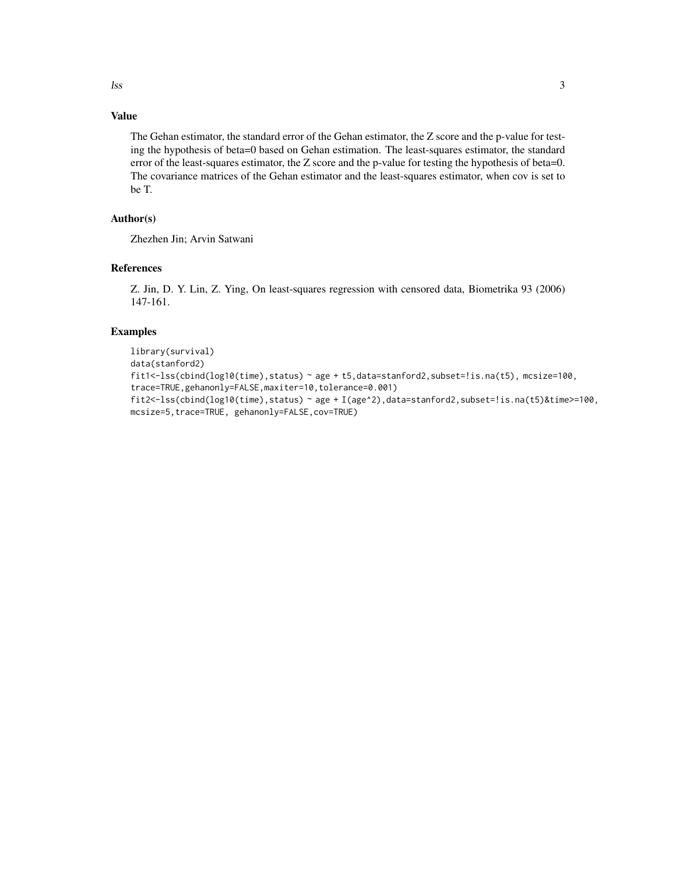#### Value

The Gehan estimator, the standard error of the Gehan estimator, the Z score and the p-value for testing the hypothesis of beta=0 based on Gehan estimation. The least-squares estimator, the standard error of the least-squares estimator, the Z score and the p-value for testing the hypothesis of beta=0. The covariance matrices of the Gehan estimator and the least-squares estimator, when cov is set to be T.

#### Author(s)

Zhezhen Jin; Arvin Satwani

#### References

Z. Jin, D. Y. Lin, Z. Ying, On least-squares regression with censored data, Biometrika 93 (2006) 147-161.

#### Examples

```
library(survival)
data(stanford2)
fit1<-lss(cbind(log10(time),status) ~ age + t5,data=stanford2,subset=!is.na(t5), mcsize=100,
trace=TRUE,gehanonly=FALSE,maxiter=10,tolerance=0.001)
fit2<-lss(cbind(log10(time),status) ~ age + I(age^2),data=stanford2,subset=!is.na(t5)&time>=100,
mcsize=5,trace=TRUE, gehanonly=FALSE,cov=TRUE)
```